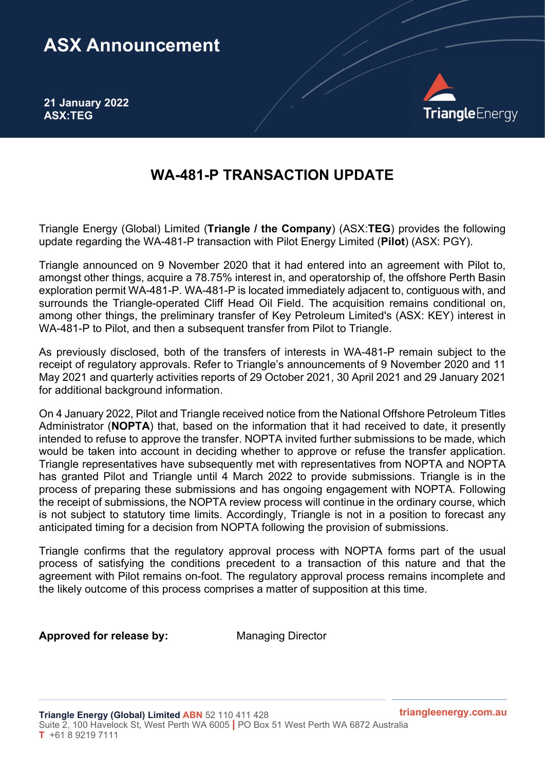## ASX Announcement

21 January 2022 ASX:TEG



## WA-481-P TRANSACTION UPDATE

Triangle Energy (Global) Limited (Triangle / the Company) (ASX:TEG) provides the following update regarding the WA-481-P transaction with Pilot Energy Limited (Pilot) (ASX: PGY).

Triangle announced on 9 November 2020 that it had entered into an agreement with Pilot to, amongst other things, acquire a 78.75% interest in, and operatorship of, the offshore Perth Basin exploration permit WA-481-P. WA-481-P is located immediately adjacent to, contiguous with, and surrounds the Triangle-operated Cliff Head Oil Field. The acquisition remains conditional on, among other things, the preliminary transfer of Key Petroleum Limited's (ASX: KEY) interest in WA-481-P to Pilot, and then a subsequent transfer from Pilot to Triangle.

As previously disclosed, both of the transfers of interests in WA-481-P remain subject to the receipt of regulatory approvals. Refer to Triangle's announcements of 9 November 2020 and 11 May 2021 and quarterly activities reports of 29 October 2021, 30 April 2021 and 29 January 2021 for additional background information.

On 4 January 2022, Pilot and Triangle received notice from the National Offshore Petroleum Titles Administrator (NOPTA) that, based on the information that it had received to date, it presently intended to refuse to approve the transfer. NOPTA invited further submissions to be made, which would be taken into account in deciding whether to approve or refuse the transfer application. Triangle representatives have subsequently met with representatives from NOPTA and NOPTA has granted Pilot and Triangle until 4 March 2022 to provide submissions. Triangle is in the process of preparing these submissions and has ongoing engagement with NOPTA. Following the receipt of submissions, the NOPTA review process will continue in the ordinary course, which is not subject to statutory time limits. Accordingly, Triangle is not in a position to forecast any anticipated timing for a decision from NOPTA following the provision of submissions.

Triangle confirms that the regulatory approval process with NOPTA forms part of the usual process of satisfying the conditions precedent to a transaction of this nature and that the agreement with Pilot remains on-foot. The regulatory approval process remains incomplete and the likely outcome of this process comprises a matter of supposition at this time.

Approved for release by: Managing Director